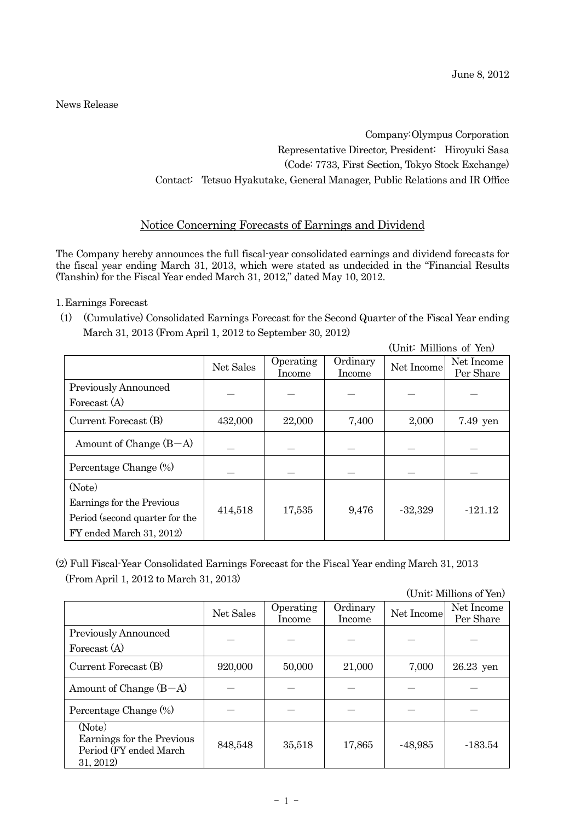News Release

Company: Olympus Corporation Representative Director, President: Hiroyuki Sasa (Code: 7733, First Section, Tokyo Stock Exchange) Contact: Tetsuo Hyakutake, General Manager, Public Relations and IR Office

## Notice Concerning Forecasts of Earnings and Dividend

The Company hereby announces the full fiscal-year consolidated earnings and dividend forecasts for the fiscal year ending March 31, 2013, which were stated as undecided in the "Financial Results (Tanshin) for the Fiscal Year ended March 31, 2012," dated May 10, 2012.

1.Earnings Forecast

(1) (Cumulative) Consolidated Earnings Forecast for the Second Quarter of the Fiscal Year ending March 31, 2013 (From April 1, 2012 to September 30, 2012)

|                                                                                         |           |                     |                    |            | (Unit: Millions of Yen) |  |
|-----------------------------------------------------------------------------------------|-----------|---------------------|--------------------|------------|-------------------------|--|
|                                                                                         | Net Sales | Operating<br>Income | Ordinary<br>Income | Net Income | Net Income<br>Per Share |  |
| <b>Previously Announced</b><br>Forecast (A)                                             |           |                     |                    |            |                         |  |
| Current Forecast (B)                                                                    | 432,000   | 22,000              | 7,400              | 2,000      | 7.49 yen                |  |
| Amount of Change $(B-A)$                                                                |           |                     |                    |            |                         |  |
| Percentage Change (%)                                                                   |           |                     |                    |            |                         |  |
| (Note)                                                                                  |           |                     |                    |            |                         |  |
| Earnings for the Previous<br>Period (second quarter for the<br>FY ended March 31, 2012) | 414,518   | 17,535              | 9,476              | $-32,329$  | $-121.12$               |  |

(2) Full Fiscal-Year Consolidated Earnings Forecast for the Fiscal Year ending March 31, 2013 (From April 1, 2012 to March 31, 2013)

(Unit: Millions of Yen)

|                                                                             | Net Sales | Operating<br>Income | Ordinary<br>Income | Net Income | Net Income<br>Per Share |
|-----------------------------------------------------------------------------|-----------|---------------------|--------------------|------------|-------------------------|
| Previously Announced<br>Forecast (A)                                        |           |                     |                    |            |                         |
| Current Forecast (B)                                                        | 920,000   | 50,000              | 21,000             | 7,000      | $26.23$ yen             |
| Amount of Change $(B-A)$                                                    |           |                     |                    |            |                         |
| Percentage Change (%)                                                       |           |                     |                    |            |                         |
| (Note)<br>Earnings for the Previous<br>Period (FY ended March)<br>31, 2012) | 848,548   | 35,518              | 17,865             | $-48,985$  | $-183.54$               |